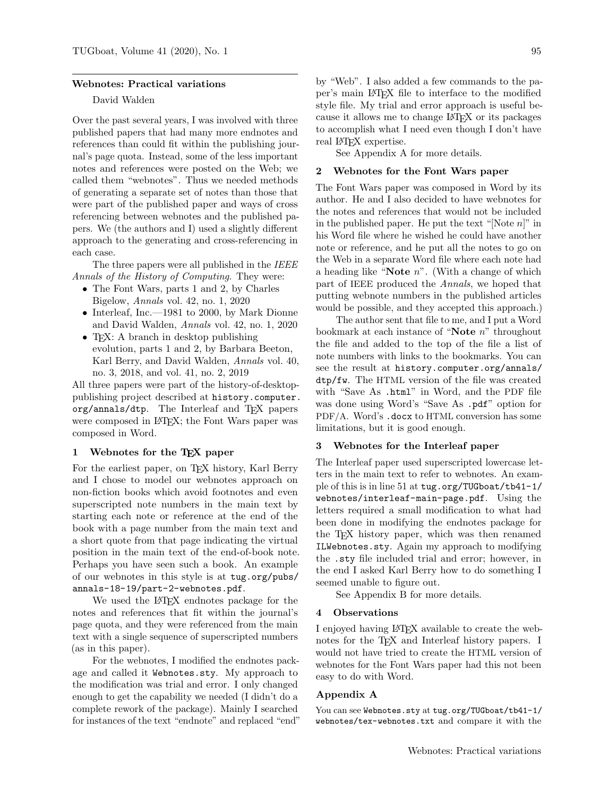#### Webnotes: Practical variations

## David Walden

Over the past several years, I was involved with three published papers that had many more endnotes and references than could fit within the publishing journal's page quota. Instead, some of the less important notes and references were posted on the Web; we called them "webnotes". Thus we needed methods of generating a separate set of notes than those that were part of the published paper and ways of cross referencing between webnotes and the published papers. We (the authors and I) used a slightly different approach to the generating and cross-referencing in each case.

The three papers were all published in the IEEE Annals of the History of Computing. They were:

- The Font Wars, parts 1 and 2, by Charles Bigelow, Annals vol. 42, no. 1, 2020
- Interleaf, Inc.—1981 to 2000, by Mark Dionne and David Walden, Annals vol. 42, no. 1, 2020
- T<sub>F</sub>X: A branch in desktop publishing evolution, parts 1 and 2, by Barbara Beeton, Karl Berry, and David Walden, Annals vol. 40, no. 3, 2018, and vol. 41, no. 2, 2019

All three papers were part of the history-of-desktoppublishing project described at history.computer. org/annals/dtp. The Interleaf and TFX papers were composed in IAT<sub>EX</sub>; the Font Wars paper was composed in Word.

## 1 Webnotes for the T<sub>E</sub>X paper

For the earliest paper, on TEX history, Karl Berry and I chose to model our webnotes approach on non-fiction books which avoid footnotes and even superscripted note numbers in the main text by starting each note or reference at the end of the book with a page number from the main text and a short quote from that page indicating the virtual position in the main text of the end-of-book note. Perhaps you have seen such a book. An example of our webnotes in this style is at tug.org/pubs/ annals-18-19/part-2-webnotes.pdf.

We used the LAT<sub>EX</sub> endnotes package for the notes and references that fit within the journal's page quota, and they were referenced from the main text with a single sequence of superscripted numbers (as in this paper).

For the webnotes, I modified the endnotes package and called it Webnotes.sty. My approach to the modification was trial and error. I only changed enough to get the capability we needed (I didn't do a complete rework of the package). Mainly I searched for instances of the text "endnote" and replaced "end" by "Web". I also added a few commands to the paper's main LATEX file to interface to the modified style file. My trial and error approach is useful because it allows me to change LATEX or its packages to accomplish what I need even though I don't have real LAT<sub>EX</sub> expertise.

See Appendix A for more details.

## 2 Webnotes for the Font Wars paper

The Font Wars paper was composed in Word by its author. He and I also decided to have webnotes for the notes and references that would not be included in the published paper. He put the text "[Note  $n$ ]" in his Word file where he wished he could have another note or reference, and he put all the notes to go on the Web in a separate Word file where each note had a heading like "Note  $n$ ". (With a change of which part of IEEE produced the Annals, we hoped that putting webnote numbers in the published articles would be possible, and they accepted this approach.)

The author sent that file to me, and I put a Word bookmark at each instance of "Note  $n$ " throughout the file and added to the top of the file a list of note numbers with links to the bookmarks. You can see the result at history.computer.org/annals/ dtp/fw. The HTML version of the file was created with "Save As .html" in Word, and the PDF file was done using Word's "Save As .pdf" option for PDF/A. Word's .docx to HTML conversion has some limitations, but it is good enough.

#### 3 Webnotes for the Interleaf paper

The Interleaf paper used superscripted lowercase letters in the main text to refer to webnotes. An example of this is in line 51 at tug.org/TUGboat/tb41-1/ webnotes/interleaf-main-page.pdf. Using the letters required a small modification to what had been done in modifying the endnotes package for the TEX history paper, which was then renamed ILWebnotes.sty. Again my approach to modifying the .sty file included trial and error; however, in the end I asked Karl Berry how to do something I seemed unable to figure out.

See Appendix B for more details.

## 4 Observations

I enjoyed having LATEX available to create the webnotes for the T<sub>E</sub>X and Interleaf history papers. I would not have tried to create the HTML version of webnotes for the Font Wars paper had this not been easy to do with Word.

## Appendix A

You can see Webnotes.sty at tug.org/TUGboat/tb41-1/ webnotes/tex-webnotes.txt and compare it with the